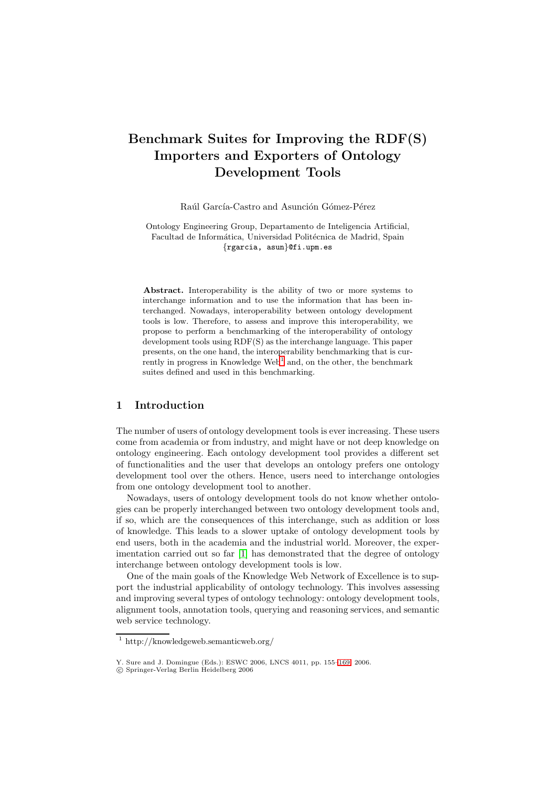# **Benchmark Suites for Improving the RDF(S) Importers and Exporters of Ontology Development Tools**

Raúl García-Castro and Asunción Gómez-Pérez

Ontology Engineering Group, Departamento de Inteligencia Artificial, Facultad de Informática, Universidad Politécnica de Madrid, Spain {rgarcia, asun}@fi.upm.es

**Abstract.** Interoperability is the ability of two or more systems to interchange information and to use the information that has been interchanged. Nowadays, interoperability between ontology development tools is low. Therefore, to assess and improve this interoperability, we propose to perform a benchmarking of the interoperability of ontology development tools using RDF(S) as the interchange language. This paper presents, on the one hand, the interoperability benchmarking that is currently in progress in Knowledge  $Web<sup>1</sup>$  and, on the other, the benchmark suites defined and used in this benchmarking.

## **1 Introduction**

The number of users of ontology development tools is ever increasing. These users come from academia or from industry, and might have or not deep knowledge on ontology engineering. Each ontology development tool provides a different set of functionalities and the user that develops an ontology prefers one ontology development tool over the others. Hence, users need to interchange ontologies from one ontology development tool to another.

Nowadays, users of ontology development tools do not know whether ontologies can be properly interchanged between two ontology development tools and, if so, which are the consequences of this interchange, such as addition or loss of knowledge. This leads to a slower uptake of ontology development tools by end users, both in the academia and the industrial world. Moreover, the experimentation carried out so far [1] has demonstrated that the degree of ontology interchange between ontology development tools is low.

One of the main goals of the Knowledge Web Network of Excellence is to support the industrial applicability of ontology technology. This involves assessing and improving several types of [on](#page-13-0)tology technology: ontology development tools, alignment tools, annotation tools, querying and reasoning services, and semantic web service technology.

<sup>1</sup> http://knowledgeweb.semanticweb.org/

Y. Sure and J. Domingue (Eds.): ESWC 2006, LNCS 4011, pp. 155–169, 2006.

<sup>-</sup>c Springer-Verlag Berlin Heidelberg 2006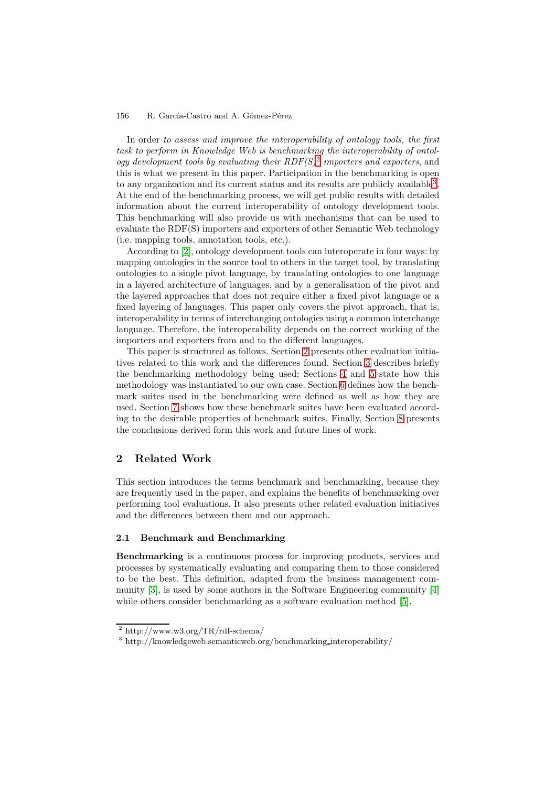In order to assess and improve the interoperability of ontology tools, the first task to perform in Knowledge Web is benchmarking the interoperability of ontology development tools by evaluating their  $RDF(S)^2$  importers and exporters, and this is what we present in this paper. Participation in the benchmarking is open to any organization and its current status and its results are publicly available<sup>3</sup>. At the end of the benchmarking process, we will get public results with detailed information about the current interoperability [of](#page-1-0) ontology development tools. This benchmarking will also provide us with mechanisms that can be used to evaluate the RDF(S) importers and exporters of other Semantic Web technolo[gy](#page-1-1) (i.e. mapping tools, annotation tools, etc.).

According to [2], ontology development tools can interoperate in four ways: by mapping ontologies in the source tool to others in the target tool, by translating ontologies to a single pivot language, by translating ontologies to one language in a layered architecture of languages, and by a generalisation of the pivot and the layered app[roa](#page-13-1)ches that does not require either a fixed pivot language or a fixed layering of languages. This paper only covers the pivot approach, that is, interoperability in terms of interchanging ontologies using a common interchange language. Therefore, the interoperability depends on the correct working of the importers and exporters from and to the different languages.

This paper is structured as follows. Section 2 presents other evaluation initiatives related to this work and the differences found. Section 3 describes briefly the benchmarking methodology being used; Sections 4 and 5 state how this methodology was instantiated to our own case. Section 6 defines how the benchmark suites used in the benchmarking were [d](#page-1-2)efined as well as how they are used. Section 7 shows how these benchmark suites have bee[n e](#page-3-0)valuated according to the desirable properties of benchmark suites. Fi[na](#page-4-0)lly, [Sec](#page-5-0)tion 8 presents the conclusions derived form this work and future line[s o](#page-6-0)f work.

## **2 Relate[d](#page-11-0) Work**

<span id="page-1-2"></span>This section introduces the terms benchmark and benchmarking, because they are frequently used in the paper, and explains the benefits of benchmarking over performing tool evaluations. It also presents other related evaluation initiatives and the differences between them and our approach.

## **2.1 Benchmark and Benchmarking**

**Benchmarking** is a continuous process for improving products, services and processes by systematically evaluating and comparing them to those considered to be the best. This definition, adapted from the business management community [3], is used by some authors in the Software Engineering community [4] while others consider benchmarking as a software evaluation method [5].

 $^2$ http:/[/w](#page-13-2)ww.w3.org/TR/rdf-schema/

<span id="page-1-1"></span><span id="page-1-0"></span><sup>3</sup> http://knowledgeweb.semanticweb.org/benchmarking interoperability/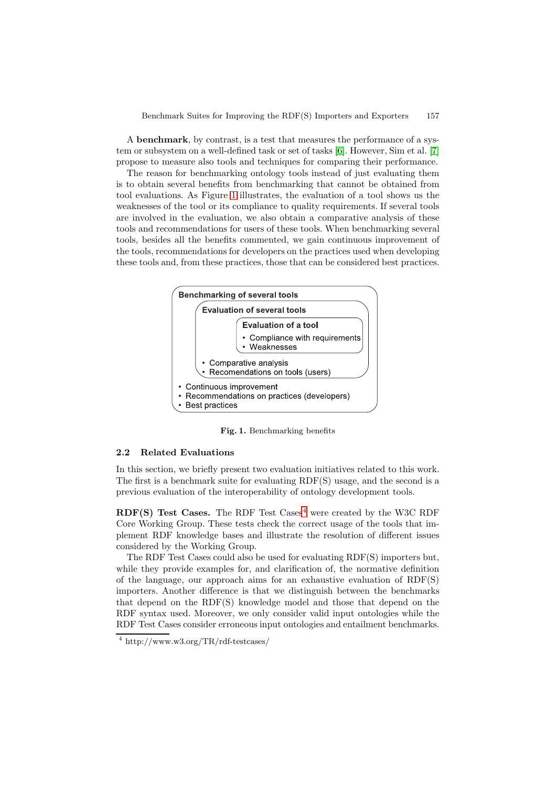A **benchmark**, by contrast, is a test that measures the performance of a system or subsystem on a well-defined task or set of tasks [6]. However, Sim et al. [7] propose to measure also tools and techniques for comparing their performance.

The reason for benchmarking ontology tools instead of just evaluating them is to obtain several benefits from benchmarking that cannot be obtained from tool evaluations. As Figure 1 illustrates, the evaluati[on](#page-14-0) of a tool shows us t[he](#page-14-1) weaknesses of the tool or its compliance to quality requirements. If several tools are involved in the evaluation, we also obtain a comparative analysis of these tools and recommendations for users of these tools. When benchmarking several tools, besides all the benefi[ts](#page-2-0) commented, we gain continuous improvement of the tools, recommendations for developers on the practices used when developing these tools and, from these practices, those that can be considered best practices.



<span id="page-2-0"></span>**Fig. 1.** Benchmarking benefits

#### **2.2 Related Evaluations**

In this section, we briefly present two evaluation initiatives related to this work. The first is a benchmark suite for evaluating RDF(S) usage, and the second is a previous evaluation of the interoperability of ontology development tools.

**RDF(S) Test Cases.** The RDF Test  $\text{CaseS}^4$  were created by the W3C RDF Core Working Group. These tests check the correct usage of the tools that implement RDF knowledge bases and illustrate the resolution of different issues considered by the Working Group.

The RDF Test Cases could also be used for [ev](#page-2-1)aluating RDF(S) importers but, while they provide examples for, and clarification of, the normative definition of the language, our approach aims for an exhaustive evaluation of RDF(S) importers. Another difference is that we distinguish between the benchmarks that depend on the RDF(S) knowledge model and those that depend on the RDF syntax used. Moreover, we only consider valid input ontologies while the RDF Test Cases consider erroneous input ontologies and entailment benchmarks.

<span id="page-2-1"></span><sup>4</sup> http://www.w3.org/TR/rdf-testcases/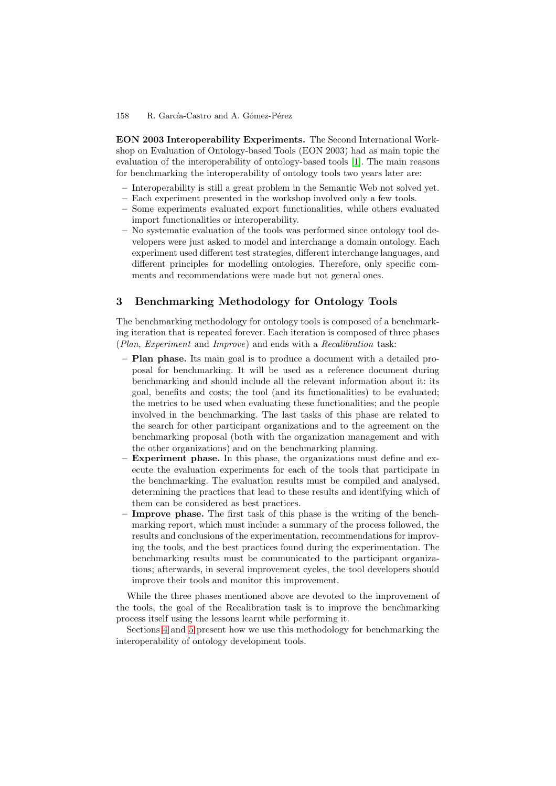**EON 2003 Interoperability Experiments.** The Second International Workshop on Evaluation of Ontology-based Tools (EON 2003) had as main topic the evaluation of the interoperability of ontology-based tools [1]. The main reasons for benchmarking the interoperability of ontology tools two years later are:

- **–** Interoperability is still a great problem in the Semantic Web not solved yet.
- **–** Each experiment presented in the workshop involved only a few tools.
- **–** Some experiments evaluated export functionalities, [whi](#page-13-0)le others evaluated import functionalities or interoperability.
- **–** No systematic evaluation of the tools was performed since ontology tool developers were just asked to model and interchange a domain ontology. Each experiment used different test strategies, different interchange languages, and different principles for modelling ontologies. Therefore, only specific comments and recommendations were made but not general ones.

# **3 Benchmarking Methodology for Ontology Tools**

<span id="page-3-0"></span>The benchmarking methodology for ontology tools is composed of a benchmarking iteration that is repeated forever. Each iteration is composed of three phases (Plan, Experiment and Improve) and ends with a Recalibration task:

- **Plan phase.** Its main goal is to produce a document with a detailed proposal for benchmarking. It will be used as a reference document during benchmarking and should include all the relevant information about it: its goal, benefits and costs; the tool (and its functionalities) to be evaluated; the metrics to be used when evaluating these functionalities; and the people involved in the benchmarking. The last tasks of this phase are related to the search for other participant organizations and to the agreement on the benchmarking proposal (both with the organization management and with the other organizations) and on the benchmarking planning.
- **Experiment phase.** In this phase, the organizations must define and execute the evaluation experiments for each of the tools that participate in the benchmarking. The evaluation results must be compiled and analysed, determining the practices that lead to these results and identifying which of them can be considered as best practices.
- **Improve phase.** The first task of this phase is the writing of the benchmarking report, which must include: a summary of the process followed, the results and conclusions of the experimentation, recommendations for improving the tools, and the best practices found during the experimentation. The benchmarking results must be communicated to the participant organizations; afterwards, in several improvement cycles, the tool developers should improve their tools and monitor this improvement.

While the three phases mentioned above are devoted to the improvement of the tools, the goal of the Recalibration task is to improve the benchmarking process itself using the lessons learnt while performing it.

Sections 4 and 5 present how we use this methodology for benchmarking the interoperability of ontology development tools.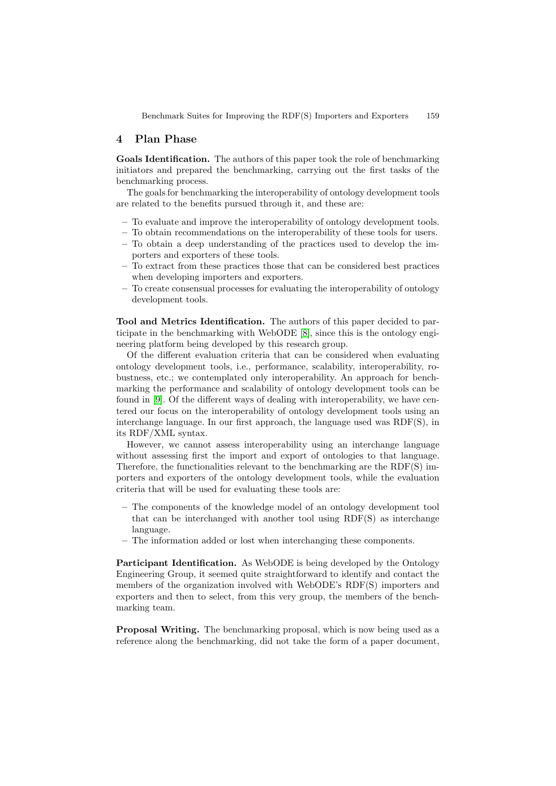# **4 Plan Phase**

**Goals Identification.** The authors of this paper took the role of benchmarking initiators and prepared the benchmarking, carrying out the first tasks of the benchmarking process.

<span id="page-4-0"></span>The goals for benchmarking the interoperability of ontology development tools are related to the benefits pursued through it, and these are:

- **–** To evaluate and improve the interoperability of ontology development tools.
- **–** To obtain recommendations on the interoperability of these tools for users.
- **–** To obtain a deep understanding of the practices used to develop the importers and exporters of these tools.
- **–** To extract from these practices those that can be considered best practices when developing importers and exporters.
- **–** To create consensual processes for evaluating the interoperability of ontology development tools.

**Tool and Metrics Identification.** The authors of this paper decided to participate in the benchmarking with WebODE [8], since this is the ontology engineering platform being developed by this research group.

Of the different evaluation criteria that can be considered when evaluating ontology development tools, i.e., performance, scalability, interoperability, robustness, etc.; we contemplated only interop[er](#page-14-2)ability. An approach for benchmarking the performance and scalability of ontology development tools can be found in [9]. Of the different ways of dealing with interoperability, we have centered our focus on the interoperability of ontology development tools using an interchange language. In our first approach, the language used was RDF(S), in its RDF/XML syntax.

Howev[er](#page-14-3), we cannot assess interoperability using an interchange language without assessing first the import and export of ontologies to that language. Therefore, the functionalities relevant to the benchmarking are the RDF(S) importers and exporters of the ontology development tools, while the evaluation criteria that will be used for evaluating these tools are:

- **–** The components of the knowledge model of an ontology development tool that can be interchanged with another tool using RDF(S) as interchange language.
- **–** The information added or lost when interchanging these components.

**Participant Identification.** As WebODE is being developed by the Ontology Engineering Group, it seemed quite straightforward to identify and contact the members of the organization involved with WebODE's RDF(S) importers and exporters and then to select, from this very group, the members of the benchmarking team.

**Proposal Writing.** The benchmarking proposal, which is now being used as a reference along the benchmarking, did not take the form of a paper document,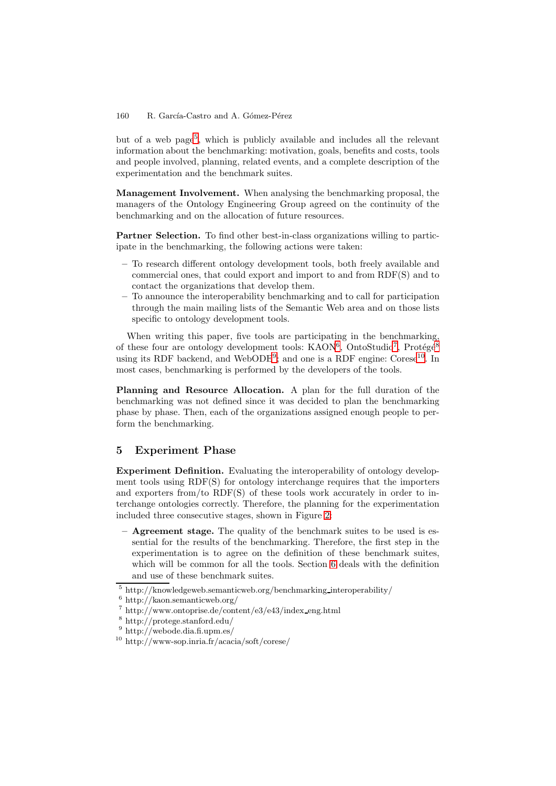but of a web page<sup>5</sup>, which is publicly available and includes all the relevant information about the benchmarking: motivation, goals, benefits and costs, tools and people involved, planning, related events, and a complete description of the experimentation and the benchmark suites.

**Management In[vo](#page-5-1)lvement.** When analysing the benchmarking proposal, the managers of the Ontology Engineering Group agreed on the continuity of the benchmarking and on the allocation of future resources.

Partner Selection. To find other best-in-class organizations willing to participate in the benchmarking, the following actions were taken:

- **–** To research different ontology development tools, both freely available and commercial ones, that could export and import to and from RDF(S) and to contact the organizations that develop them.
- **–** To announce the interoperability benchmarking and to call for participation through the main mailing lists of the Semantic Web area and on those lists specific to ontology development tools.

When writing this paper, five tools are participating in the benchmarking, of these four are ontology development tools:  $KAON^6$ , OntoStudio<sup>7</sup>, Protégé<sup>8</sup> using its RDF backend, and WebODE<sup>9</sup>; and one is a RDF engine:  $\text{Cores}^{10}$ . In most cases, benchmarking is performed by the developers of the tools.

**Planning and Resource Allocation.** A plan fo[r t](#page-5-2)he full dur[at](#page-5-3)ion of t[he](#page-5-4) benchmarking was not defined since i[t](#page-5-5) was decided to plan the benchm[ark](#page-5-6)ing phase by phase. Then, each of the organizations assigned enough people to perform the benchmarking.

# **5 Experiment Phase**

<span id="page-5-0"></span>**Experiment Definition.** Evaluating the interoperability of ontology development tools using RDF(S) for ontology interchange requires that the importers and exporters from/to RDF(S) of these tools work accurately in order to interchange ontologies correctly. Therefore, the planning for the experimentation included three consecutive stages, shown in Figure 2:

**– Agreement stage.** The quality of the benchmark suites to be used is essential for the results of the benchmarking. Therefore, the first step in the experimentation is to agree on the definition of these benchmark suites, which will be common for all the tools. Sectio[n](#page-6-1) 6 deals with the definition and use of these benchmark suites.

 $5 \text{ http://knowledgeweb.semanticweb.org/benchmarking_interestability/$ 

 $6$  http://kaon.semanticweb.org/

<sup>7</sup> http://www.ontoprise.de/content/e3/e43/index eng.h[tm](#page-6-0)l

<sup>8</sup> http://protege.stanford.edu/

 $^9$ http://webode.dia.fi.upm.es/

<span id="page-5-6"></span><span id="page-5-5"></span><span id="page-5-4"></span><span id="page-5-3"></span><span id="page-5-2"></span><span id="page-5-1"></span><sup>10</sup> http://www-sop.inria.fr/acacia/soft/corese/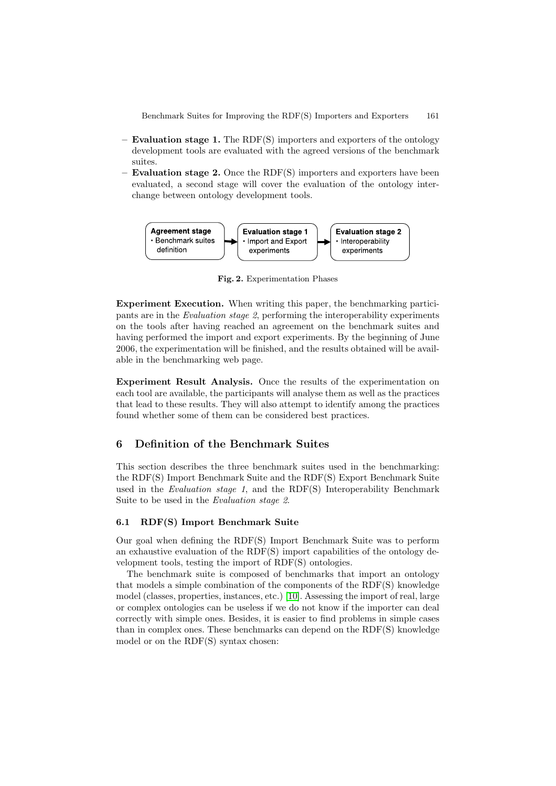- **Evaluation stage 1.** The RDF(S) importers and exporters of the ontology development tools are evaluated with the agreed versions of the benchmark suites.
- **Evaluation stage 2.** Once the RDF(S) importers and exporters have been evaluated, a second stage will cover the evaluation of the ontology interchange between ontology development tools.



<span id="page-6-1"></span>**Fig. 2.** Experimentation Phases

**Experiment Execution.** When writing this paper, the benchmarking participants are in the Evaluation stage 2, performing the interoperability experiments on the tools after having reached an agreement on the benchmark suites and having performed the import and export experiments. By the beginning of June 2006, the experimentation will be finished, and the results obtained will be available in the benchmarking web page.

**Experiment Result Analysis.** Once the results of the experimentation on each tool are available, the participants will analyse them as well as the practices that lead to these results. They will also attempt to identify among the practices found whether some of them can be considered best practices.

## **6 Definition of the Benchmark Suites**

<span id="page-6-0"></span>This section describes the three benchmark suites used in the benchmarking: the RDF(S) Import Benchmark Suite and the RDF(S) Export Benchmark Suite used in the Evaluation stage 1, and the RDF(S) Interoperability Benchmark Suite to be used in the Evaluation stage 2.

## **6.1 RDF(S) Import Benchmark Suite**

Our goal when defining the RDF(S) Import Benchmark Suite was to perform an exhaustive evaluation of the RDF(S) import capabilities of the ontology development tools, testing the import of RDF(S) ontologies.

The benchmark suite is composed of benchmarks that import an ontology that models a simple combination of the components of the RDF(S) knowledge model (classes, properties, instances, etc.) [10]. Assessing the import of real, large or complex ontologies can be useless if we do not know if the importer can deal correctly with simple ones. Besides, it is easier to find problems in simple cases than in complex ones. These benchmarks can depend on the RDF(S) knowledge model or on the RDF(S) syntax chosen: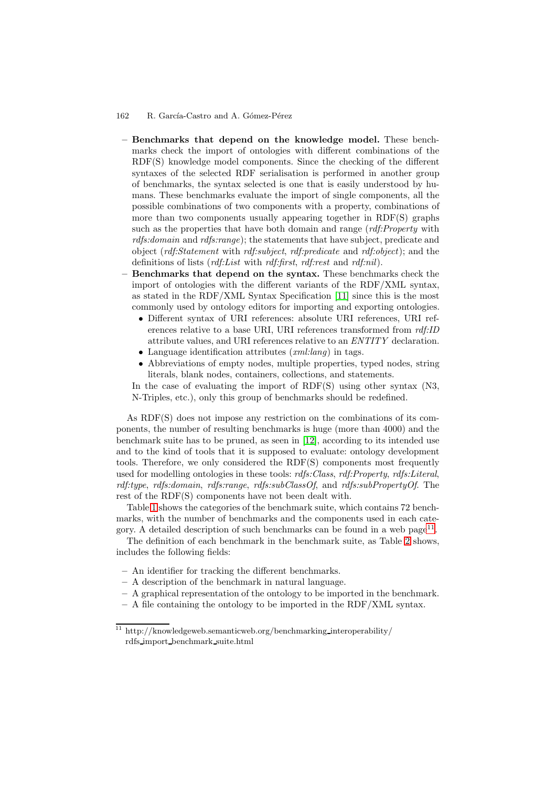- 162 R. García-Castro and A. Gómez-Pérez
- **Benchmarks that depend on the knowledge model.** These benchmarks check the import of ontologies with different combinations of the RDF(S) knowledge model components. Since the checking of the different syntaxes of the selected RDF serialisation is performed in another group of benchmarks, the syntax selected is one that is easily understood by humans. These benchmarks evaluate the import of single components, all the possible combinations of two components with a property, combinations of more than two components usually appearing together in RDF(S) graphs such as the properties that have both domain and range (rdf: Property with rdfs:domain and rdfs:range); the statements that have subject, predicate and object (rdf:Statement with rdf:subject, rdf:predicate and rdf:object); and the definitions of lists (*rdf:List* with *rdf:first*, *rdf:rest* and *rdf:nil*).
- **Benchmarks that depend on the syntax.** These benchmarks check the import of ontologies with the different variants of the RDF/XML syntax, as stated in the RDF/XML Syntax Specification [11] since this is the most commonly used by ontology editors for importing and exporting ontologies.
	- Different syntax of URI references: absolute URI references, URI references relative to a base URI, URI references transformed from rdf:ID attribute values, and URI references relative to [an](#page-14-4) ENTITY declaration.
	- Language identification attributes  $(xml:lang)$  in tags.
	- Abbreviations of empty nodes, multiple properties, typed nodes, string literals, blank nodes, containers, collections, and statements.

In the case of evaluating the import of RDF(S) using other syntax (N3, N-Triples, etc.), only this group of benchmarks should be redefined.

As RDF(S) does not impose any restriction on the combinations of its components, the number of resulting benchmarks is huge (more than 4000) and the benchmark suite has to be pruned, as seen in [12], according to its intended use and to the kind of tools that it is supposed to evaluate: ontology development tools. Therefore, we only considered the RDF(S) components most frequently used for modelling ontologies in these tools: rdfs: Class, rdf: Property, rdfs: Literal, rdf:type, rdfs:domain, rdfs:range, rdfs:subClas[sOf](#page-14-5), and rdfs:subPropertyOf. The rest of the RDF(S) components have not been dealt with.

Table 1 shows the categories of the benchmark suite, which contains 72 benchmarks, with the number of benchmarks and the components used in each category. A detailed description of such benchmarks can be found in a web page<sup>11</sup>.

The definition of each benchmark in the benchmark suite, as Table 2 shows, includes [th](#page-8-0)e following fields:

- **–** An identifier for tracking the different benchmarks.
- **–** A description of the benchmark in natural language.
- **–** A graphical representation of the ontology to be imported in the be[nch](#page-8-1)mark.
- **–** A file containing the ontology to be imported in the RDF/XML syntax.

 $\frac{11 \text{ http://knowledgeweb.semanticweb.org/benchmarking_interestability/}}{11 \text{ http://knowledgeweb.semanticweb.org/benchmarking_interestability/}}$ rdfs import benchmark suite.html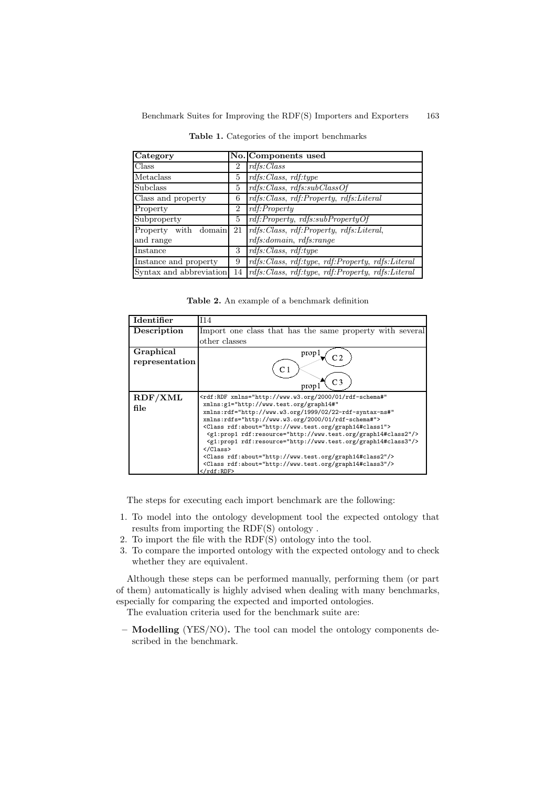| Category                |                | No. Components used                                 |
|-------------------------|----------------|-----------------------------------------------------|
| Class                   | $\overline{2}$ | rdfs:Class                                          |
| Metaclass               | 5              | rdfs:Class, rdf:type                                |
| <b>Subclass</b>         | 5              | rdfs:Class, rdfs:subClassOf                         |
| Class and property      | 6              | rdfs: Class, rdf: Property, rdfs: Literal           |
| Property                | 2              | rdf:Property                                        |
| Subproperty             | 5              | rdf:Property, rdfs:subPropertyOf                    |
| Property with domain    | 21             | rdfs: Class, rdf: Property, rdfs: Literal,          |
| and range               |                | rdfs:domain, rdfs:range                             |
| Instance                | 3              | rdfs:Class, rdf:type                                |
| Instance and property   | 9              | rdfs: Class, rdf:type, rdf: Property, rdfs: Literal |
| Syntax and abbreviation | 14             | rdfs: Class, rdf:type, rdf: Property, rdfs: Literal |

<span id="page-8-0"></span>**Table 1.** Categories of the import benchmarks

<span id="page-8-1"></span>**Table 2.** An example of a benchmark definition

| Identifier     | I14                                                                                                                                                |  |  |  |  |  |  |
|----------------|----------------------------------------------------------------------------------------------------------------------------------------------------|--|--|--|--|--|--|
| Description    | Import one class that has the same property with several                                                                                           |  |  |  |  |  |  |
|                | other classes                                                                                                                                      |  |  |  |  |  |  |
| Graphical      | prop l                                                                                                                                             |  |  |  |  |  |  |
| representation |                                                                                                                                                    |  |  |  |  |  |  |
|                |                                                                                                                                                    |  |  |  |  |  |  |
|                | C <sub>3</sub><br>prop                                                                                                                             |  |  |  |  |  |  |
| RDF/XML        | <rdf:rdf <="" th="" xmlns="http://www.w3.org/2000/01/rdf-schema#"></rdf:rdf>                                                                       |  |  |  |  |  |  |
| file           | xmlns:g1="http://www.test.org/graph14#"<br>xmlns:rdf="http://www.w3.org/1999/02/22-rdf-syntax-ns#"                                                 |  |  |  |  |  |  |
|                | xmlns:rdfs="http://www.w3.org/2000/01/rdf-schema#">                                                                                                |  |  |  |  |  |  |
|                | <class rdf:about="http://www.test.org/graph14#class1"></class>                                                                                     |  |  |  |  |  |  |
|                | <g1:prop1 rdf:resource="http://www.test.org/graph14#class2"></g1:prop1><br><g1:prop1 rdf:resource="http://www.test.org/graph14#class3"></g1:prop1> |  |  |  |  |  |  |
|                | $\langle$ /Class><br><class rdf:about="http://www.test.org/graph14#class2"></class>                                                                |  |  |  |  |  |  |
|                | <class rdf:about="http://www.test.org/graph14#class3"></class>                                                                                     |  |  |  |  |  |  |
|                |                                                                                                                                                    |  |  |  |  |  |  |

The steps for executing each import benchmark are the following:

- 1. To model into the ontology development tool the expected ontology that results from importing the RDF(S) ontology .
- 2. To import the file with the RDF(S) ontology into the tool.
- 3. To compare the imported ontology with the expected ontology and to check whether they are equivalent.

Although these steps can be performed manually, performing them (or part of them) automatically is highly advised when dealing with many benchmarks, especially for comparing the expected and imported ontologies.

The evaluation criteria used for the benchmark suite are:

**– Modelling** (YES/NO)**.** The tool can model the ontology components described in the benchmark.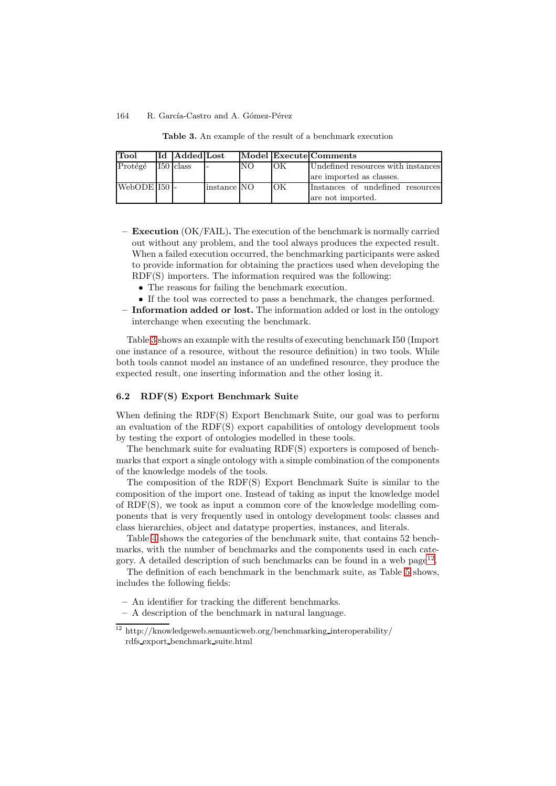| Tool          | Id Added Lost |             |    |    | Model Execute Comments                                |
|---------------|---------------|-------------|----|----|-------------------------------------------------------|
| Protégé       | $150$ class   |             | NО | OК | Undefined resources with instances                    |
|               |               |             |    |    | are imported as classes.                              |
| WebODE [150]- |               | instance NO |    | OК | Instances of undefined resources<br>are not imported. |

**Table 3.** An example of the result of a benchmark execution

- **Execution** (OK/FAIL)**.** The execution of the benchmark is normally carried out without any problem, and the tool always produces the expected result. When a failed execution occurred, the benchmarking participants were asked to provide information for obtaining the practices used when developing the RDF(S) importers. The information required was the following:
	- The reasons for failing the benchmark execution.
	- If the tool was corrected to pass a benchmark, the changes performed.
- **Information added or lost.** The information added or lost in the ontology interchange when executing the benchmark.

Table 3 shows an example with the results of executing benchmark I50 (Import one instance of a resource, without the resource definition) in two tools. While both tools cannot model an instance of an undefined resource, they produce the expected result, one inserting information and the other losing it.

## **6.2 RDF(S) Export Benchmark Suite**

When defining the RDF(S) Export Benchmark Suite, our goal was to perform an evaluation of the RDF(S) export capabilities of ontology development tools by testing the export of ontologies modelled in these tools.

The benchmark suite for evaluating RDF(S) exporters is composed of benchmarks that export a single ontology with a simple combination of the components of the knowledge models of the tools.

The composition of the RDF(S) Export Benchmark Suite is similar to the composition of the import one. Instead of taking as input the knowledge model of RDF(S), we took as input a common core of the knowledge modelling components that is very frequently used in ontology development tools: classes and class hierarchies, object and datatype properties, instances, and literals.

Table 4 shows the categories of the benchmark suite, that contains 52 benchmarks, with the number of benchmarks and the components used in each category. A detailed description of such benchmarks can be found in a web page<sup>12</sup>.

The definition of each benchmark in the benchmark suite, as Table 5 shows, includes [th](#page-10-0)e following fields:

- **–** An identifier for tracking the different benchmarks.
- **–** A description of the benchmark in natural language.

 $^{12}$ http://knowledgeweb.semanticweb.org/benchmarking\_interoperability/  $\,$ rdfs export benchmark suite.html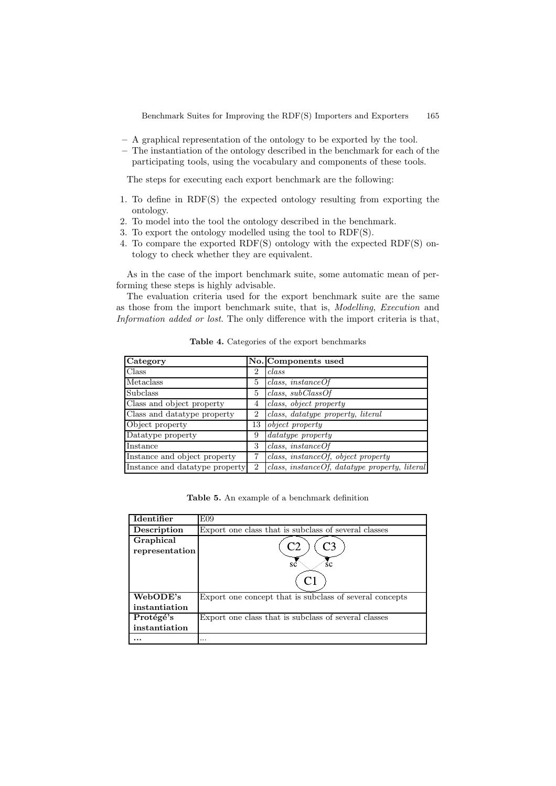- **–** A graphical representation of the ontology to be exported by the tool.
- **–** The instantiation of the ontology described in the benchmark for each of the participating tools, using the vocabulary and components of these tools.

The steps for executing each export benchmark are the following:

- 1. To define in RDF(S) the expected ontology resulting from exporting the ontology.
- 2. To model into the tool the ontology described in the benchmark.
- 3. To export the ontology modelled using the tool to RDF(S).
- 4. To compare the exported RDF(S) ontology with the expected RDF(S) ontology to check whether they are equivalent.

As in the case of the import benchmark suite, some automatic mean of performing these steps is highly advisable.

The evaluation criteria used for the export benchmark suite are the same as those from the import benchmark suite, that is, Modelling, Execution and Information added or lost. The only difference with the import criteria is that,

| Category                        |                             | No. Components used                              |
|---------------------------------|-----------------------------|--------------------------------------------------|
| Class                           | $\overline{2}$              | class                                            |
| Metaclass                       | 5                           | class, instanceOf                                |
| Subclass                        | 5                           | class, subClassOf                                |
| Class and object property       | 4                           | class, object property                           |
| Class and data type property    | 2                           | class, datatype property, literal                |
| Object property                 | 13                          | <i>object property</i>                           |
| Datatype property               | 9                           | datatype property                                |
| Instance                        | 3                           | class, instanceOf                                |
| Instance and object property    |                             | class, instanceOf, object property               |
| Instance and data type property | $\mathcal{D}_{\mathcal{L}}$ | $class, instanceOf, data type property, literal$ |

<span id="page-10-0"></span>**Table 4.** Categories of the export benchmarks

**Table 5.** An example of a benchmark definition

| Identifier     | E09                                                     |
|----------------|---------------------------------------------------------|
| Description    | Export one class that is subclass of several classes    |
| Graphical      | CЗ                                                      |
| representation |                                                         |
|                | sć<br>ŚС                                                |
|                |                                                         |
| WebODE's       | Export one concept that is subclass of several concepts |
| instantiation  |                                                         |
| Protégé's      | Export one class that is subclass of several classes    |
| instantiation  |                                                         |
|                | .                                                       |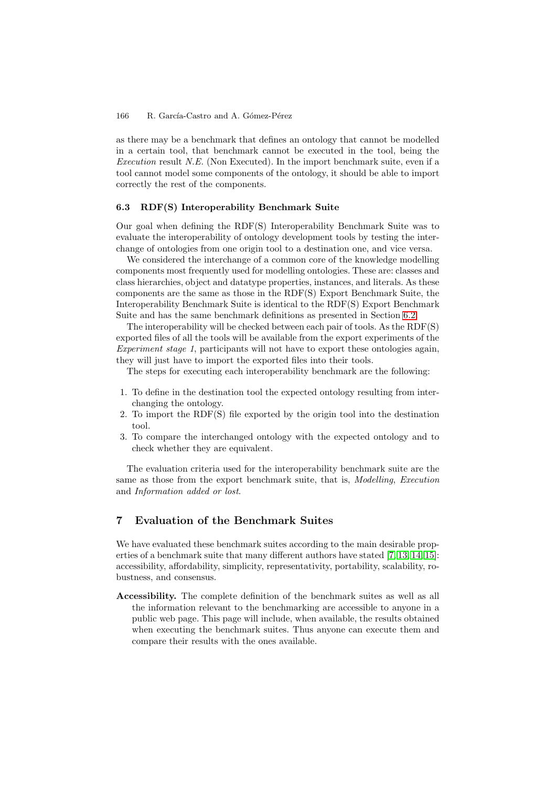as there may be a benchmark that defines an ontology that cannot be modelled in a certain tool, that benchmark cannot be executed in the tool, being the Execution result N.E. (Non Executed). In the import benchmark suite, even if a tool cannot model some components of the ontology, it should be able to import correctly the rest of the components.

## **6.3 RDF(S) Interoperability Benchmark Suite**

Our goal when defining the RDF(S) Interoperability Benchmark Suite was to evaluate the interoperability of ontology development tools by testing the interchange of ontologies from one origin tool to a destination one, and vice versa.

We considered the interchange of a common core of the knowledge modelling components most frequently used for modelling ontologies. These are: classes and class hierarchies, object and datatype properties, instances, and literals. As these components are the same as those in the RDF(S) Export Benchmark Suite, the Interoperability Benchmark Suite is identical to the RDF(S) Export Benchmark Suite and has the same benchmark definitions as presented in Section 6.2.

The interoperability will be checked between each pair of tools. As the RDF(S) exported files of all the tools will be available from the export experiments of the Experiment stage 1, participants will not have to export these ontologies again, they will just have to import the exported files into their tools.

The steps for executing each interoperability benchmark are the following:

- 1. To define in the destination tool the expected ontology resulting from interchanging the ontology.
- 2. To import the RDF(S) file exported by the origin tool into the destination tool.
- 3. To compare the interchanged ontology with the expected ontology and to check whether they are equivalent.

The evaluation criteria used for the interoperability benchmark suite are the same as those from the export benchmark suite, that is, *Modelling*, *Execution* and Information added or lost.

# **7 Evaluation of the Benchmark Suites**

<span id="page-11-0"></span>We have evaluated these benchmark suites according to the main desirable properties of a benchmark suite that many different authors have stated [7, 13, 14, 15]: accessibility, affordability, simplicity, representativity, portability, scalability, robustness, and consensus.

**Accessibility.** The complete definition of the benchmark suites [as](#page-14-1) [we](#page-14-6)[ll a](#page-14-7)[s al](#page-14-8)l the information relevant to the benchmarking are accessible to anyone in a public web page. This page will include, when available, the results obtained when executing the benchmark suites. Thus anyone can execute them and compare their results with the ones available.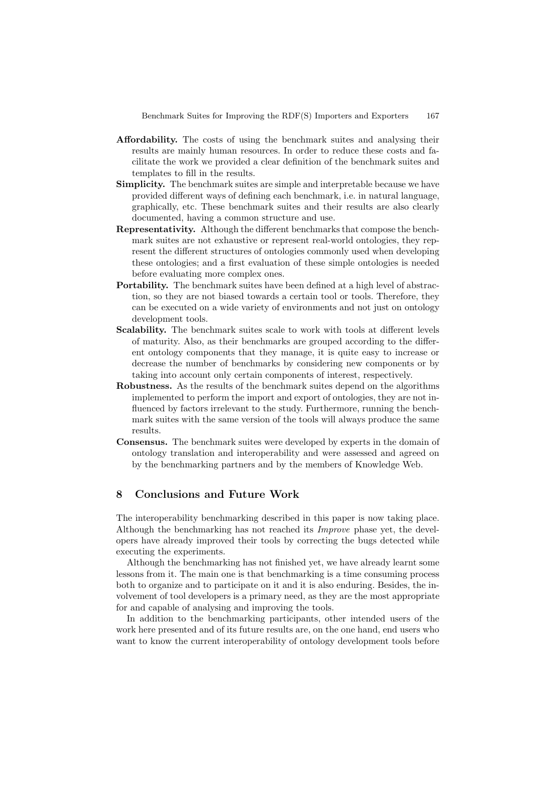- **Affordability.** The costs of using the benchmark suites and analysing their results are mainly human resources. In order to reduce these costs and facilitate the work we provided a clear definition of the benchmark suites and templates to fill in the results.
- **Simplicity.** The benchmark suites are simple and interpretable because we have provided different ways of defining each benchmark, i.e. in natural language, graphically, etc. These benchmark suites and their results are also clearly documented, having a common structure and use.
- **Representativity.** Although the different benchmarks that compose the benchmark suites are not exhaustive or represent real-world ontologies, they represent the different structures of ontologies commonly used when developing these ontologies; and a first evaluation of these simple ontologies is needed before evaluating more complex ones.
- **Portability.** The benchmark suites have been defined at a high level of abstraction, so they are not biased towards a certain tool or tools. Therefore, they can be executed on a wide variety of environments and not just on ontology development tools.
- **Scalability.** The benchmark suites scale to work with tools at different levels of maturity. Also, as their benchmarks are grouped according to the different ontology components that they manage, it is quite easy to increase or decrease the number of benchmarks by considering new components or by taking into account only certain components of interest, respectively.
- **Robustness.** As the results of the benchmark suites depend on the algorithms implemented to perform the import and export of ontologies, they are not influenced by factors irrelevant to the study. Furthermore, running the benchmark suites with the same version of the tools will always produce the same results.
- **Consensus.** The benchmark suites were developed by experts in the domain of ontology translation and interoperability and were assessed and agreed on by the benchmarking partners and by the members of Knowledge Web.

# **8 Conclusions and Future Work**

The interoperability benchmarking described in this paper is now taking place. Although the benchmarking has not reached its Improve phase yet, the developers have already improved their tools by correcting the bugs detected while executing the experiments.

Although the benchmarking has not finished yet, we have already learnt some lessons from it. The main one is that benchmarking is a time consuming process both to organize and to participate on it and it is also enduring. Besides, the involvement of tool developers is a primary need, as they are the most appropriate for and capable of analysing and improving the tools.

In addition to the benchmarking participants, other intended users of the work here presented and of its future results are, on the one hand, end users who want to know the current interoperability of ontology development tools before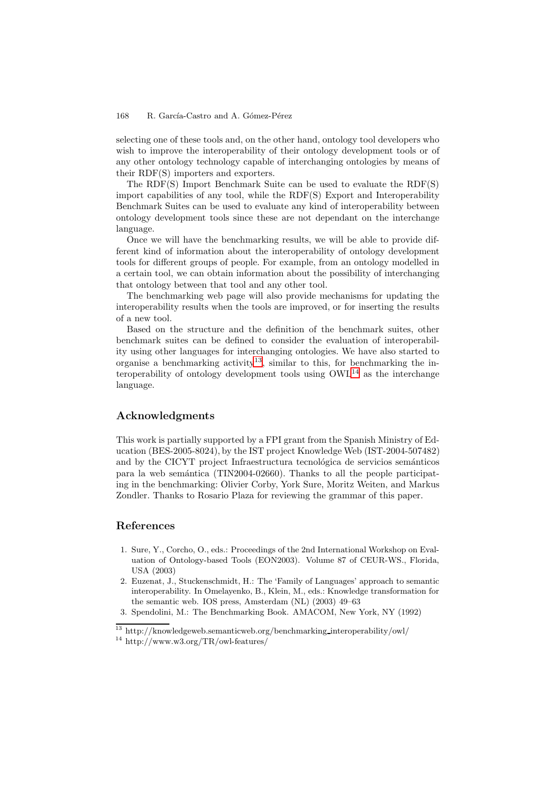selecting one of these tools and, on the other hand, ontology tool developers who wish to improve the interoperability of their ontology development tools or of any other ontology technology capable of interchanging ontologies by means of their RDF(S) importers and exporters.

The RDF(S) Import Benchmark Suite can be used to evaluate the RDF(S) import capabilities of any tool, while the RDF(S) Export and Interoperability Benchmark Suites can be used to evaluate any kind of interoperability between ontology development tools since these are not dependant on the interchange language.

Once we will have the benchmarking results, we will be able to provide different kind of information about the interoperability of ontology development tools for different groups of people. For example, from an ontology modelled in a certain tool, we can obtain information about the possibility of interchanging that ontology between that tool and any other tool.

The benchmarking web page will also provide mechanisms for updating the interoperability results when the tools are improved, or for inserting the results of a new tool.

Based on the structure and the definition of the benchmark suites, other benchmark suites can be defined to consider the evaluation of interoperability using other languages for interchanging ontologies. We have also started to organise a benchmarking activity<sup>13</sup>, similar to this, for benchmarking the interoperability of ontology development tools using  $\text{OWL}^{14}$  as the interchange language.

## **Acknowledgments**

This work is partially supported by a FPI grant from the Spanish Ministry of Education (BES-2005-8024), by the IST project Knowledge Web (IST-2004-507482) and by the CICYT project Infraestructura tecnológica de servicios semánticos para la web sem´antica (TIN2004-02660). Thanks to all the people participating in the benchmarking: Olivier Corby, York Sure, Moritz Weiten, and Markus Zondler. Thanks to Rosario Plaza for reviewing the grammar of this paper.

# **References**

- 1. Sure, Y., Corcho, O., eds.: Proceedings of the 2nd International Workshop on Evaluation of Ontology-based Tools (EON2003). Volume 87 of CEUR-WS., Florida, USA (2003)
- <span id="page-13-0"></span>2. Euzenat, J., Stuckenschmidt, H.: The 'Family of Languages' approach to semantic interoperability. In Omelayenko, B., Klein, M., eds.: Knowledge transformation for the semantic web. IOS press, Amsterdam (NL) (2003) 49–63
- 3. Spendolini, M.: The Benchmarking Book. AMACOM, New York, NY (1992)

<span id="page-13-1"></span> $^{\overline{13} }$ http://knowledgeweb.semanticweb.org/benchmarking\_interoperability/owl/

<span id="page-13-2"></span> $14 \text{ http://www.w3.org/TR/owl-features/}$